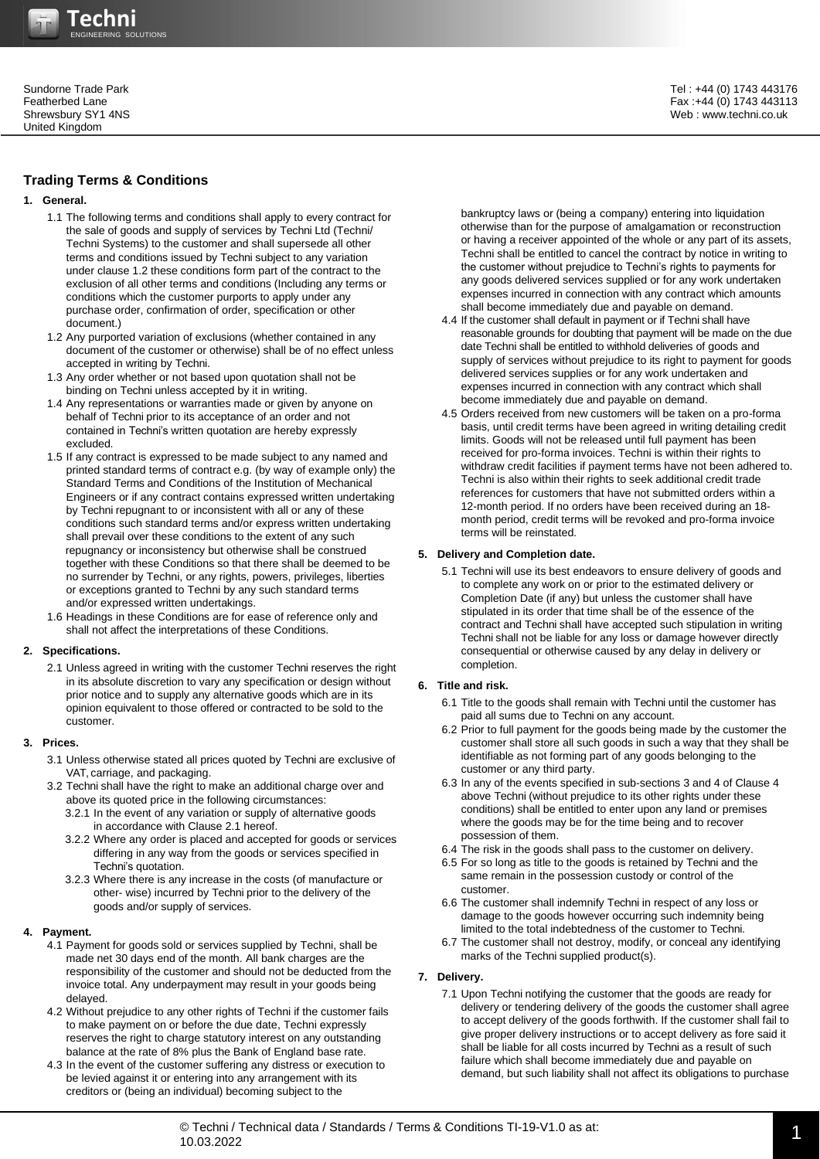# **Trading Terms & Conditions**

## **1. General.**

- 1.1 The following terms and conditions shall apply to every contract for the sale of goods and supply of services by Techni Ltd (Techni/ Techni Systems) to the customer and shall supersede all other terms and conditions issued by Techni subject to any variation under clause 1.2 these conditions form part of the contract to the exclusion of all other terms and conditions (Including any terms or conditions which the customer purports to apply under any purchase order, confirmation of order, specification or other document.)
- 1.2 Any purported variation of exclusions (whether contained in any document of the customer or otherwise) shall be of no effect unless accepted in writing by Techni.
- 1.3 Any order whether or not based upon quotation shall not be binding on Techni unless accepted by it in writing.
- 1.4 Any representations or warranties made or given by anyone on behalf of Techni prior to its acceptance of an order and not contained in Techni's written quotation are hereby expressly excluded.
- 1.5 If any contract is expressed to be made subject to any named and printed standard terms of contract e.g. (by way of example only) the Standard Terms and Conditions of the Institution of Mechanical Engineers or if any contract contains expressed written undertaking by Techni repugnant to or inconsistent with all or any of these conditions such standard terms and/or express written undertaking shall prevail over these conditions to the extent of any such repugnancy or inconsistency but otherwise shall be construed together with these Conditions so that there shall be deemed to be no surrender by Techni, or any rights, powers, privileges, liberties or exceptions granted to Techni by any such standard terms and/or expressed written undertakings.
- 1.6 Headings in these Conditions are for ease of reference only and shall not affect the interpretations of these Conditions.

#### **2. Specifications.**

2.1 Unless agreed in writing with the customer Techni reserves the right in its absolute discretion to vary any specification or design without prior notice and to supply any alternative goods which are in its opinion equivalent to those offered or contracted to be sold to the customer.

#### **3. Prices.**

- 3.1 Unless otherwise stated all prices quoted by Techni are exclusive of VAT, carriage, and packaging.
- 3.2 Techni shall have the right to make an additional charge over and above its quoted price in the following circumstances: 3.2.1 In the event of any variation or supply of alternative goods
	- in accordance with Clause 2.1 hereof.
	- 3.2.2 Where any order is placed and accepted for goods or services differing in any way from the goods or services specified in Techni's quotation.
	- 3.2.3 Where there is any increase in the costs (of manufacture or other- wise) incurred by Techni prior to the delivery of the goods and/or supply of services.

# **4. Payment.**

- 4.1 Payment for goods sold or services supplied by Techni, shall be made net 30 days end of the month. All bank charges are the responsibility of the customer and should not be deducted from the invoice total. Any underpayment may result in your goods being delayed.
- 4.2 Without prejudice to any other rights of Techni if the customer fails to make payment on or before the due date, Techni expressly reserves the right to charge statutory interest on any outstanding balance at the rate of 8% plus the Bank of England base rate.
- 4.3 In the event of the customer suffering any distress or execution to be levied against it or entering into any arrangement with its creditors or (being an individual) becoming subject to the

Tel : +44 (0) 1743 443176 Fax :+44 (0) 1743 443113 Web : www.techni.co.uk

bankruptcy laws or (being a company) entering into liquidation otherwise than for the purpose of amalgamation or reconstruction or having a receiver appointed of the whole or any part of its assets, Techni shall be entitled to cancel the contract by notice in writing to the customer without prejudice to Techni's rights to payments for any goods delivered services supplied or for any work undertaken expenses incurred in connection with any contract which amounts shall become immediately due and payable on demand.

- 4.4 If the customer shall default in payment or if Techni shall have reasonable grounds for doubting that payment will be made on the due date Techni shall be entitled to withhold deliveries of goods and supply of services without prejudice to its right to payment for goods delivered services supplies or for any work undertaken and expenses incurred in connection with any contract which shall become immediately due and payable on demand.
- 4.5 Orders received from new customers will be taken on a pro-forma basis, until credit terms have been agreed in writing detailing credit limits. Goods will not be released until full payment has been received for pro-forma invoices. Techni is within their rights to withdraw credit facilities if payment terms have not been adhered to. Techni is also within their rights to seek additional credit trade references for customers that have not submitted orders within a 12-month period. If no orders have been received during an 18 month period, credit terms will be revoked and pro-forma invoice terms will be reinstated.

#### **5. Delivery and Completion date.**

5.1 Techni will use its best endeavors to ensure delivery of goods and to complete any work on or prior to the estimated delivery or Completion Date (if any) but unless the customer shall have stipulated in its order that time shall be of the essence of the contract and Techni shall have accepted such stipulation in writing Techni shall not be liable for any loss or damage however directly consequential or otherwise caused by any delay in delivery or completion.

# **6. Title and risk.**

- 6.1 Title to the goods shall remain with Techni until the customer has paid all sums due to Techni on any account.
- 6.2 Prior to full payment for the goods being made by the customer the customer shall store all such goods in such a way that they shall be identifiable as not forming part of any goods belonging to the customer or any third party.
- 6.3 In any of the events specified in sub-sections 3 and 4 of Clause 4 above Techni (without prejudice to its other rights under these conditions) shall be entitled to enter upon any land or premises where the goods may be for the time being and to recover possession of them.
- 6.4 The risk in the goods shall pass to the customer on delivery.
- 6.5 For so long as title to the goods is retained by Techni and the same remain in the possession custody or control of the customer.
- 6.6 The customer shall indemnify Techni in respect of any loss or damage to the goods however occurring such indemnity being limited to the total indebtedness of the customer to Techni.
- 6.7 The customer shall not destroy, modify, or conceal any identifying marks of the Techni supplied product(s).

#### **7. Delivery.**

7.1 Upon Techni notifying the customer that the goods are ready for delivery or tendering delivery of the goods the customer shall agree to accept delivery of the goods forthwith. If the customer shall fail to give proper delivery instructions or to accept delivery as fore said it shall be liable for all costs incurred by Techni as a result of such failure which shall become immediately due and payable on demand, but such liability shall not affect its obligations to purchase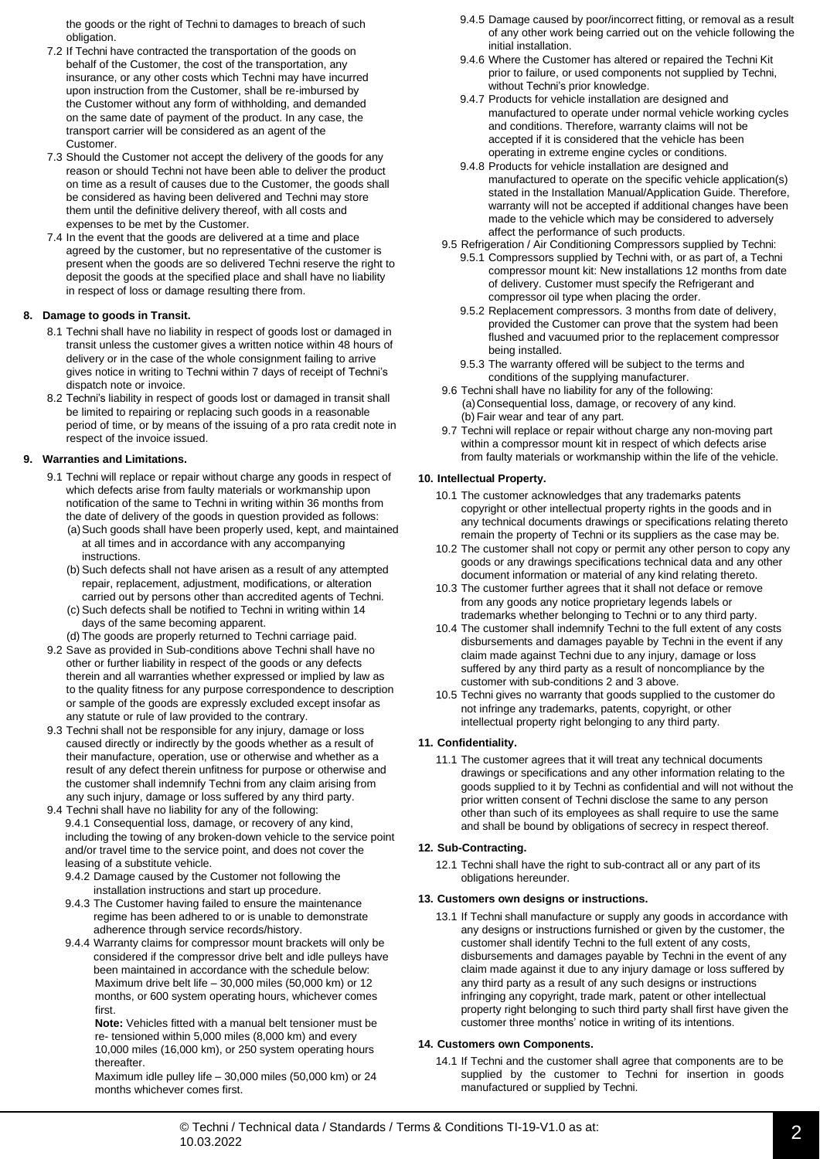the goods or the right of Techni to damages to breach of such obligation.

- 7.2 If Techni have contracted the transportation of the goods on behalf of the Customer, the cost of the transportation, any insurance, or any other costs which Techni may have incurred upon instruction from the Customer, shall be re-imbursed by the Customer without any form of withholding, and demanded on the same date of payment of the product. In any case, the transport carrier will be considered as an agent of the Customer.
- 7.3 Should the Customer not accept the delivery of the goods for any reason or should Techni not have been able to deliver the product on time as a result of causes due to the Customer, the goods shall be considered as having been delivered and Techni may store them until the definitive delivery thereof, with all costs and expenses to be met by the Customer.
- 7.4 In the event that the goods are delivered at a time and place agreed by the customer, but no representative of the customer is present when the goods are so delivered Techni reserve the right to deposit the goods at the specified place and shall have no liability in respect of loss or damage resulting there from.

## **8. Damage to goods in Transit.**

- 8.1 Techni shall have no liability in respect of goods lost or damaged in transit unless the customer gives a written notice within 48 hours of delivery or in the case of the whole consignment failing to arrive gives notice in writing to Techni within 7 days of receipt of Techni's dispatch note or invoice.
- 8.2 Techni's liability in respect of goods lost or damaged in transit shall be limited to repairing or replacing such goods in a reasonable period of time, or by means of the issuing of a pro rata credit note in respect of the invoice issued.

## **9. Warranties and Limitations.**

- 9.1 Techni will replace or repair without charge any goods in respect of which defects arise from faulty materials or workmanship upon notification of the same to Techni in writing within 36 months from the date of delivery of the goods in question provided as follows: (a)Such goods shall have been properly used, kept, and maintained
	- at all times and in accordance with any accompanying instructions.
	- (b) Such defects shall not have arisen as a result of any attempted repair, replacement, adjustment, modifications, or alteration carried out by persons other than accredited agents of Techni.
	- (c) Such defects shall be notified to Techni in writing within 14 days of the same becoming apparent.
	- (d) The goods are properly returned to Techni carriage paid.
- 9.2 Save as provided in Sub-conditions above Techni shall have no other or further liability in respect of the goods or any defects therein and all warranties whether expressed or implied by law as to the quality fitness for any purpose correspondence to description or sample of the goods are expressly excluded except insofar as any statute or rule of law provided to the contrary.
- 9.3 Techni shall not be responsible for any injury, damage or loss caused directly or indirectly by the goods whether as a result of their manufacture, operation, use or otherwise and whether as a result of any defect therein unfitness for purpose or otherwise and the customer shall indemnify Techni from any claim arising from any such injury, damage or loss suffered by any third party.
- 9.4 Techni shall have no liability for any of the following: 9.4.1 Consequential loss, damage, or recovery of any kind, including the towing of any broken-down vehicle to the service point and/or travel time to the service point, and does not cover the leasing of a substitute vehicle.
	- 9.4.2 Damage caused by the Customer not following the installation instructions and start up procedure.
	- 9.4.3 The Customer having failed to ensure the maintenance regime has been adhered to or is unable to demonstrate adherence through service records/history.
	- 9.4.4 Warranty claims for compressor mount brackets will only be considered if the compressor drive belt and idle pulleys have been maintained in accordance with the schedule below: Maximum drive belt life – 30,000 miles (50,000 km) or 12 months, or 600 system operating hours, whichever comes first.

**Note:** Vehicles fitted with a manual belt tensioner must be re- tensioned within 5,000 miles (8,000 km) and every 10,000 miles (16,000 km), or 250 system operating hours thereafter.

Maximum idle pulley life – 30,000 miles (50,000 km) or 24 months whichever comes first.

- 9.4.5 Damage caused by poor/incorrect fitting, or removal as a result of any other work being carried out on the vehicle following the initial installation.
- 9.4.6 Where the Customer has altered or repaired the Techni Kit prior to failure, or used components not supplied by Techni, without Techni's prior knowledge.
- 9.4.7 Products for vehicle installation are designed and manufactured to operate under normal vehicle working cycles and conditions. Therefore, warranty claims will not be accepted if it is considered that the vehicle has been operating in extreme engine cycles or conditions.
- 9.4.8 Products for vehicle installation are designed and manufactured to operate on the specific vehicle application(s) stated in the Installation Manual/Application Guide. Therefore, warranty will not be accepted if additional changes have been made to the vehicle which may be considered to adversely affect the performance of such products.
- 9.5 Refrigeration / Air Conditioning Compressors supplied by Techni: 9.5.1 Compressors supplied by Techni with, or as part of, a Techni compressor mount kit: New installations 12 months from date of delivery. Customer must specify the Refrigerant and compressor oil type when placing the order.
	- 9.5.2 Replacement compressors. 3 months from date of delivery, provided the Customer can prove that the system had been flushed and vacuumed prior to the replacement compressor being installed.
	- 9.5.3 The warranty offered will be subject to the terms and conditions of the supplying manufacturer.
- 9.6 Techni shall have no liability for any of the following: (a)Consequential loss, damage, or recovery of any kind. (b) Fair wear and tear of any part.
- 9.7 Techni will replace or repair without charge any non-moving part within a compressor mount kit in respect of which defects arise from faulty materials or workmanship within the life of the vehicle.

## **10. Intellectual Property.**

- 10.1 The customer acknowledges that any trademarks patents copyright or other intellectual property rights in the goods and in any technical documents drawings or specifications relating thereto remain the property of Techni or its suppliers as the case may be.
- 10.2 The customer shall not copy or permit any other person to copy any goods or any drawings specifications technical data and any other document information or material of any kind relating thereto.
- 10.3 The customer further agrees that it shall not deface or remove from any goods any notice proprietary legends labels or trademarks whether belonging to Techni or to any third party.
- 10.4 The customer shall indemnify Techni to the full extent of any costs disbursements and damages payable by Techni in the event if any claim made against Techni due to any injury, damage or loss suffered by any third party as a result of noncompliance by the customer with sub-conditions 2 and 3 above.
- 10.5 Techni gives no warranty that goods supplied to the customer do not infringe any trademarks, patents, copyright, or other intellectual property right belonging to any third party.

#### **11. Confidentiality.**

11.1 The customer agrees that it will treat any technical documents drawings or specifications and any other information relating to the goods supplied to it by Techni as confidential and will not without the prior written consent of Techni disclose the same to any person other than such of its employees as shall require to use the same and shall be bound by obligations of secrecy in respect thereof.

#### **12. Sub-Contracting.**

12.1 Techni shall have the right to sub-contract all or any part of its obligations hereunder.

#### **13. Customers own designs or instructions.**

13.1 If Techni shall manufacture or supply any goods in accordance with any designs or instructions furnished or given by the customer, the customer shall identify Techni to the full extent of any costs, disbursements and damages payable by Techni in the event of any claim made against it due to any injury damage or loss suffered by any third party as a result of any such designs or instructions infringing any copyright, trade mark, patent or other intellectual property right belonging to such third party shall first have given the customer three months' notice in writing of its intentions.

#### **14. Customers own Components.**

14.1 If Techni and the customer shall agree that components are to be supplied by the customer to Techni for insertion in goods manufactured or supplied by Techni.